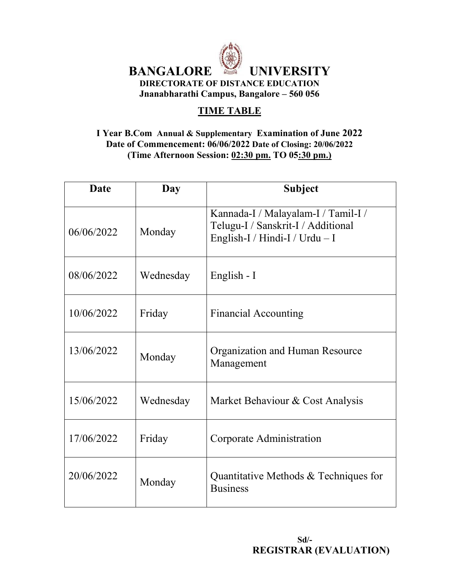

# **TIME TABLE**

#### **I Year B.Com Annual & Supplementary Examination of June 2022 Date of Commencement: 06/06/2022 Date of Closing: 20/06/2022 (Time Afternoon Session: 02:30 pm. TO 05:30 pm.)**

| <b>Date</b> | Day       | <b>Subject</b>                                                                                                |
|-------------|-----------|---------------------------------------------------------------------------------------------------------------|
| 06/06/2022  | Monday    | Kannada-I / Malayalam-I / Tamil-I /<br>Telugu-I / Sanskrit-I / Additional<br>English-I / Hindi-I / Urdu $-$ I |
| 08/06/2022  | Wednesday | English - I                                                                                                   |
| 10/06/2022  | Friday    | <b>Financial Accounting</b>                                                                                   |
| 13/06/2022  | Monday    | Organization and Human Resource<br>Management                                                                 |
| 15/06/2022  | Wednesday | Market Behaviour & Cost Analysis                                                                              |
| 17/06/2022  | Friday    | Corporate Administration                                                                                      |
| 20/06/2022  | Monday    | Quantitative Methods $&$ Techniques for<br><b>Business</b>                                                    |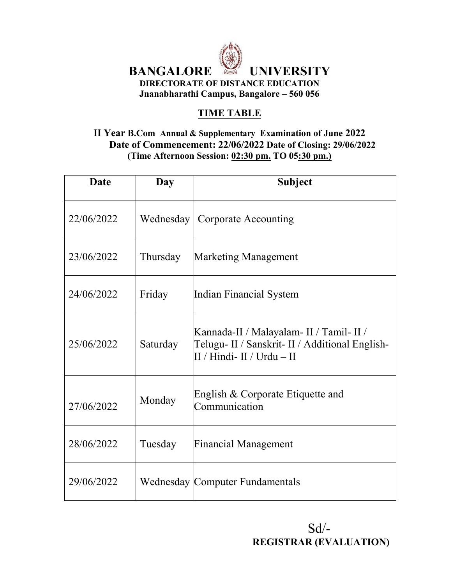

# **TIME TABLE**

### **II Year B.Com Annual & Supplementary Examination of June 2022 Date of Commencement: 22/06/2022 Date of Closing: 29/06/2022 (Time Afternoon Session: 02:30 pm. TO 05:30 pm.)**

| <b>Date</b> | Day      | <b>Subject</b>                                                                                                            |
|-------------|----------|---------------------------------------------------------------------------------------------------------------------------|
| 22/06/2022  |          | <b>Wednesday</b>   Corporate Accounting                                                                                   |
| 23/06/2022  | Thursday | <b>Marketing Management</b>                                                                                               |
| 24/06/2022  | Friday   | Indian Financial System                                                                                                   |
| 25/06/2022  | Saturday | Kannada-II / Malayalam- II / Tamil- II /<br>Telugu- II / Sanskrit- II / Additional English-<br>II / Hindi- II / Urdu – II |
| 27/06/2022  | Monday   | English & Corporate Etiquette and<br>Communication                                                                        |
| 28/06/2022  | Tuesday  | <b>Financial Management</b>                                                                                               |
| 29/06/2022  |          | Wednesday Computer Fundamentals                                                                                           |

 $Sd$ <sup>-</sup> **REGISTRAR (EVALUATION)**